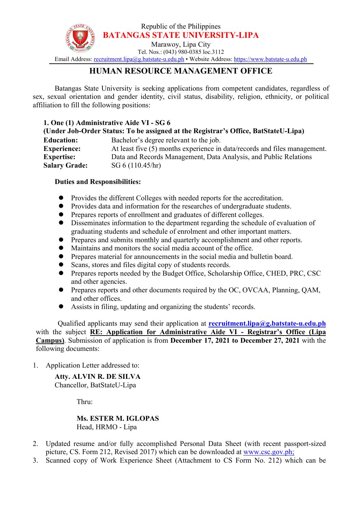

## **HUMAN RESOURCE MANAGEMENT OFFICE**

Batangas State University is seeking applications from competent candidates, regardless of sex, sexual orientation and gender identity, civil status, disability, religion, ethnicity, or political affiliation to fill the following positions:

## **1. One (1) Administrative Aide VI - SG 6**

| (Under Job-Order Status: To be assigned at the Registrar's Office, BatStateU-Lipa) |                                                                           |
|------------------------------------------------------------------------------------|---------------------------------------------------------------------------|
| <b>Education:</b>                                                                  | Bachelor's degree relevant to the job.                                    |
| <b>Experience:</b>                                                                 | At least five (5) months experience in data/records and files management. |
| <b>Expertise:</b>                                                                  | Data and Records Management, Data Analysis, and Public Relations          |
| <b>Salary Grade:</b>                                                               | SG 6 (110.45/hr)                                                          |

## **Duties and Responsibilities:**

- Provides the different Colleges with needed reports for the accreditation.
- Provides data and information for the researches of undergraduate students.
- Prepares reports of enrollment and graduates of different colleges.
- Disseminates information to the department regarding the schedule of evaluation of graduating students and schedule of enrolment and other important matters.
- Prepares and submits monthly and quarterly accomplishment and other reports.
- Maintains and monitors the social media account of the office.
- Prepares material for announcements in the social media and bulletin board.
- Scans, stores and files digital copy of students records.
- **•** Prepares reports needed by the Budget Office, Scholarship Office, CHED, PRC, CSC and other agencies.
- Prepares reports and other documents required by the OC, OVCAA, Planning, QAM, and other offices.
- Assists in filing, updating and organizing the students' records.

Qualified applicants may send their application at **[recruitment.lipa@g.batstate-u.edu.ph](mailto:recruitment.lipa@g.batstate-u.edu.ph)** with the subject **RE: Application for Administrative Aide VI - Registrar's Office (Lipa Campus)**. Submission of application is from **December 17, 2021 to December 27, 2021** with the following documents:

1. Application Letter addressed to:

**Atty. ALVIN R. DE SILVA** Chancellor, BatStateU-Lipa

Thru:

## **Ms. ESTER M. IGLOPAS** Head, HRMO - Lipa

- 2. Updated resume and/or fully accomplished Personal Data Sheet (with recent passport-sized picture, CS. Form 212, Revised 2017) which can be downloaded at [www.csc.gov.ph;](http://www.csc.gov.ph;)
- 3. Scanned copy of Work Experience Sheet (Attachment to CS Form No. 212) which can be